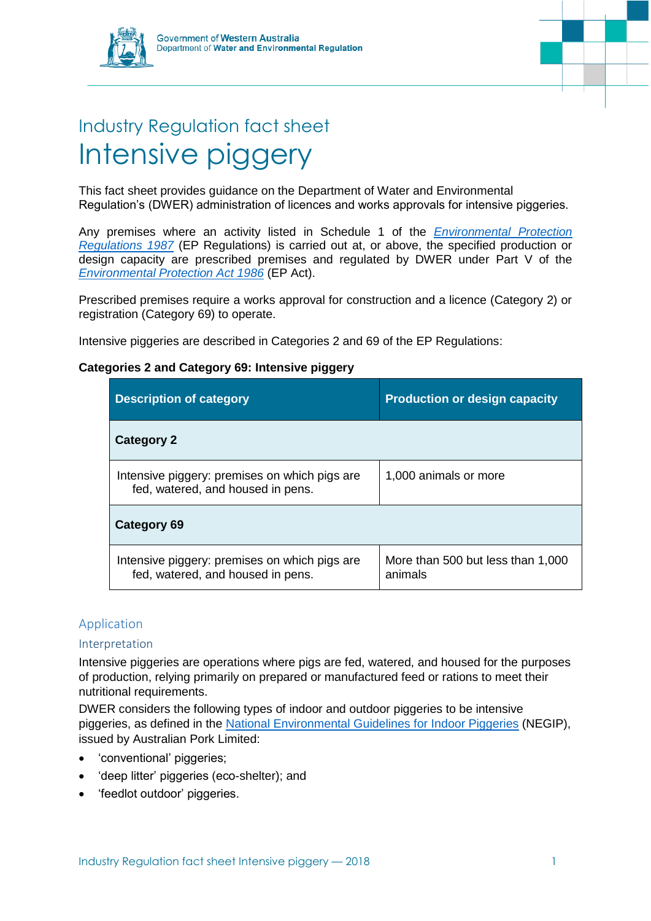



# Industry Regulation fact sheet Intensive piggery

This fact sheet provides guidance on the Department of Water and Environmental Regulation's (DWER) administration of licences and works approvals for intensive piggeries.

Any premises where an activity listed in Schedule 1 of the *[Environmental Protection](https://www.slp.wa.gov.au/legislation/statutes.nsf/main_mrtitle_1400_homepage.html)  [Regulations 1987](https://www.slp.wa.gov.au/legislation/statutes.nsf/main_mrtitle_1400_homepage.html)* (EP Regulations) is carried out at, or above, the specified production or design capacity are prescribed premises and regulated by DWER under Part V of the *[Environmental Protection Act 1986](https://www.slp.wa.gov.au/legislation/statutes.nsf/main_mrtitle_304_homepage.html)* (EP Act).

Prescribed premises require a works approval for construction and a licence (Category 2) or registration (Category 69) to operate.

Intensive piggeries are described in Categories 2 and 69 of the EP Regulations:

# **Categories 2 and Category 69: Intensive piggery**

| <b>Description of category</b>                                                     | <b>Production or design capacity</b>         |
|------------------------------------------------------------------------------------|----------------------------------------------|
| <b>Category 2</b>                                                                  |                                              |
| Intensive piggery: premises on which pigs are<br>fed, watered, and housed in pens. | 1,000 animals or more                        |
| Category 69                                                                        |                                              |
| Intensive piggery: premises on which pigs are<br>fed, watered, and housed in pens. | More than 500 but less than 1,000<br>animals |

# Application

## Interpretation

Intensive piggeries are operations where pigs are fed, watered, and housed for the purposes of production, relying primarily on prepared or manufactured feed or rations to meet their nutritional requirements.

DWER considers the following types of indoor and outdoor piggeries to be intensive piggeries, as defined in the [National Environmental Guidelines for Indoor Piggeries](http://australianpork.com.au/industry-focus/environment/national-environmental-guidelines-for-piggeries/) (NEGIP), issued by Australian Pork Limited:

- 'conventional' piggeries;
- 'deep litter' piggeries (eco-shelter); and
- 'feedlot outdoor' piggeries.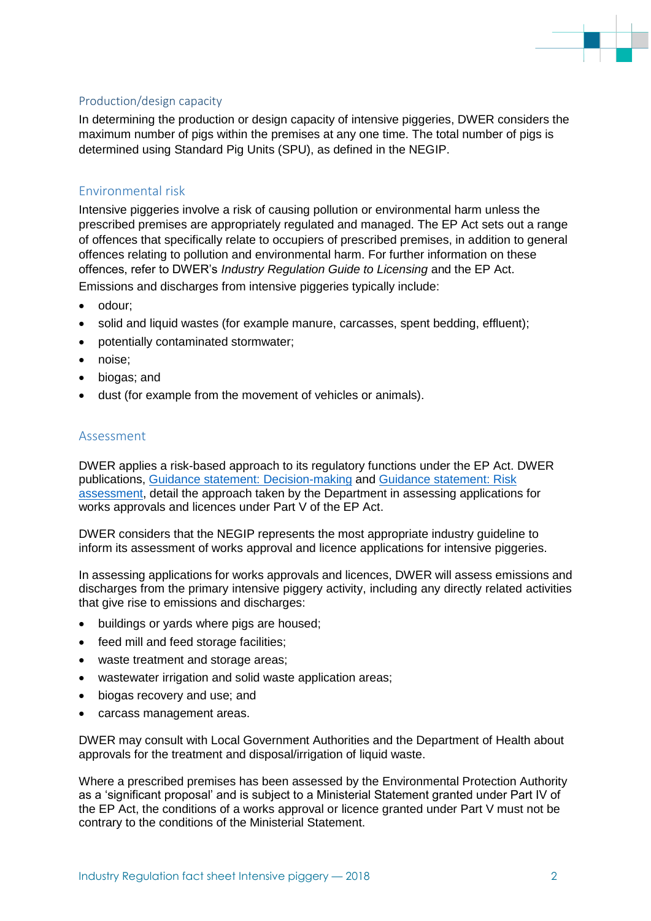

#### Production/design capacity

In determining the production or design capacity of intensive piggeries, DWER considers the maximum number of pigs within the premises at any one time. The total number of pigs is determined using Standard Pig Units (SPU), as defined in the NEGIP.

# Environmental risk

Intensive piggeries involve a risk of causing pollution or environmental harm unless the prescribed premises are appropriately regulated and managed. The EP Act sets out a range of offences that specifically relate to occupiers of prescribed premises, in addition to general offences relating to pollution and environmental harm. For further information on these offences, refer to DWER's *Industry Regulation Guide to Licensing* and the EP Act. Emissions and discharges from intensive piggeries typically include:

- odour;
- solid and liquid wastes (for example manure, carcasses, spent bedding, effluent);
- potentially contaminated stormwater;
- noise;
- biogas; and
- dust (for example from the movement of vehicles or animals).

#### Assessment

DWER applies a risk-based approach to its regulatory functions under the EP Act. DWER publications, [Guidance statement: Decision-making](https://www.der.wa.gov.au/images/documents/our-work/licences-and-works-approvals/GS_Decision_Making.pdf) and [Guidance statement: Risk](https://www.der.wa.gov.au/images/documents/our-work/licences-and-works-approvals/GS_Risk_Assessments.pdf)  [assessment,](https://www.der.wa.gov.au/images/documents/our-work/licences-and-works-approvals/GS_Risk_Assessments.pdf) detail the approach taken by the Department in assessing applications for works approvals and licences under Part V of the EP Act.

DWER considers that the NEGIP represents the most appropriate industry guideline to inform its assessment of works approval and licence applications for intensive piggeries.

In assessing applications for works approvals and licences, DWER will assess emissions and discharges from the primary intensive piggery activity, including any directly related activities that give rise to emissions and discharges:

- buildings or yards where pigs are housed;
- feed mill and feed storage facilities;
- waste treatment and storage areas;
- wastewater irrigation and solid waste application areas;
- biogas recovery and use; and
- carcass management areas.

DWER may consult with Local Government Authorities and the Department of Health about approvals for the treatment and disposal/irrigation of liquid waste.

Where a prescribed premises has been assessed by the Environmental Protection Authority as a 'significant proposal' and is subject to a Ministerial Statement granted under Part IV of the EP Act, the conditions of a works approval or licence granted under Part V must not be contrary to the conditions of the Ministerial Statement.